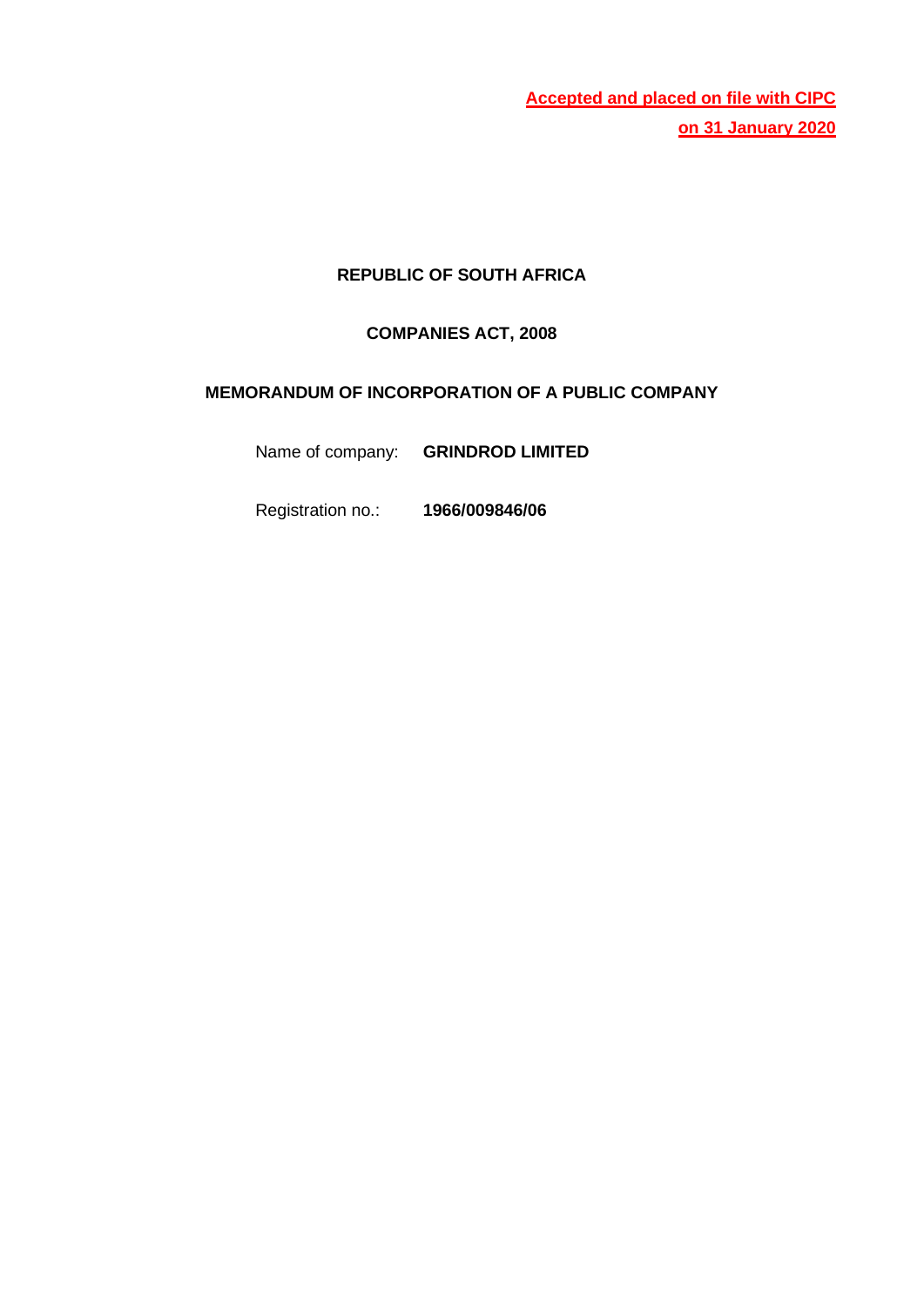**Accepted and placed on file with CIPC on 31 January 2020**

# **REPUBLIC OF SOUTH AFRICA**

## **COMPANIES ACT, 2008**

## **MEMORANDUM OF INCORPORATION OF A PUBLIC COMPANY**

Name of company: **GRINDROD LIMITED**

Registration no.: **1966/009846/06**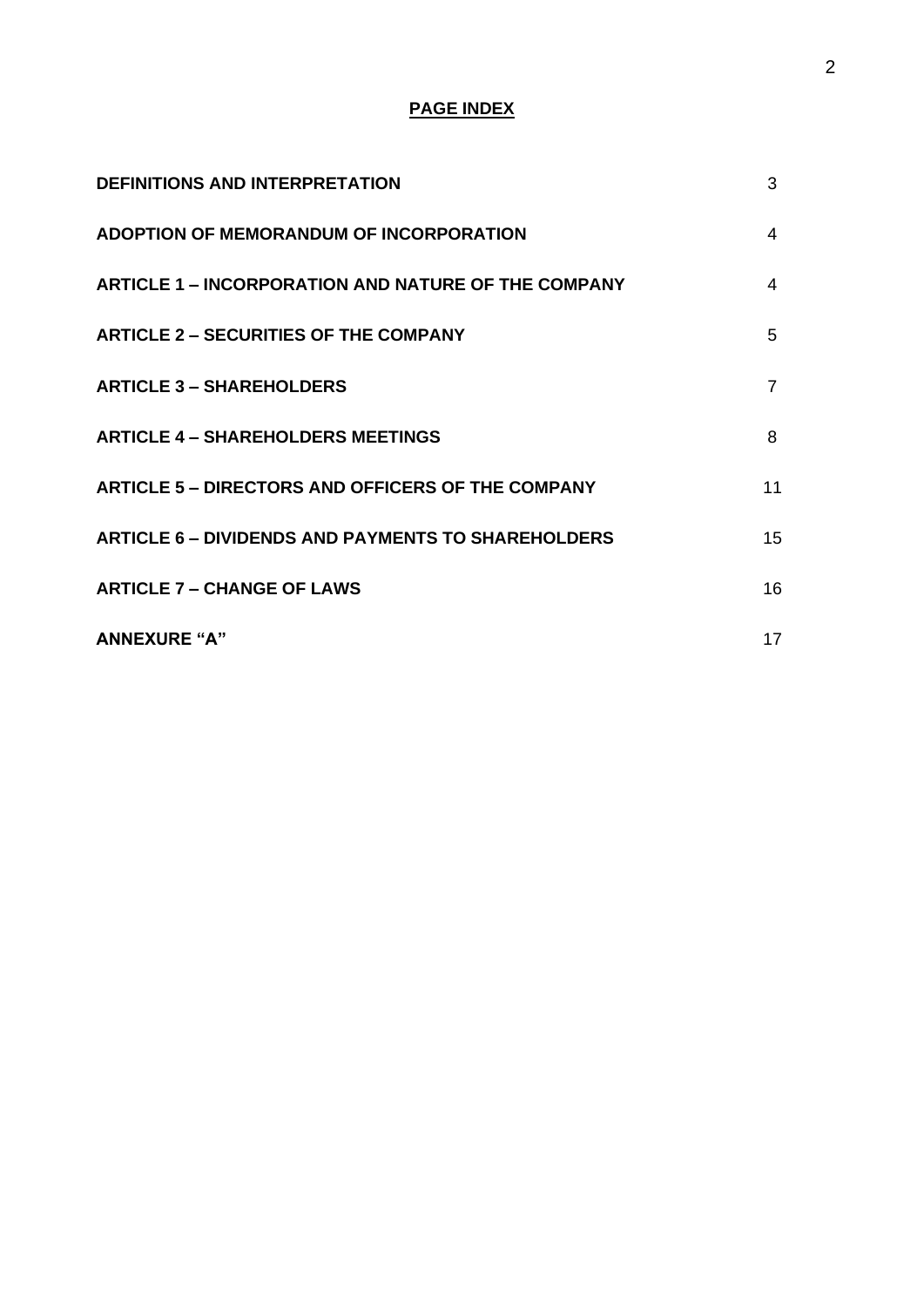# **PAGE INDEX**

| <b>DEFINITIONS AND INTERPRETATION</b>                      | 3              |
|------------------------------------------------------------|----------------|
| ADOPTION OF MEMORANDUM OF INCORPORATION                    | $\overline{4}$ |
| <b>ARTICLE 1 – INCORPORATION AND NATURE OF THE COMPANY</b> | 4              |
| <b>ARTICLE 2 - SECURITIES OF THE COMPANY</b>               | 5              |
| <b>ARTICLE 3 - SHAREHOLDERS</b>                            | $\overline{7}$ |
| <b>ARTICLE 4 - SHAREHOLDERS MEETINGS</b>                   | 8              |
| <b>ARTICLE 5 - DIRECTORS AND OFFICERS OF THE COMPANY</b>   | 11             |
| <b>ARTICLE 6 - DIVIDENDS AND PAYMENTS TO SHAREHOLDERS</b>  | 15             |
| <b>ARTICLE 7 - CHANGE OF LAWS</b>                          | 16             |
| <b>ANNEXURE "A"</b>                                        | 17             |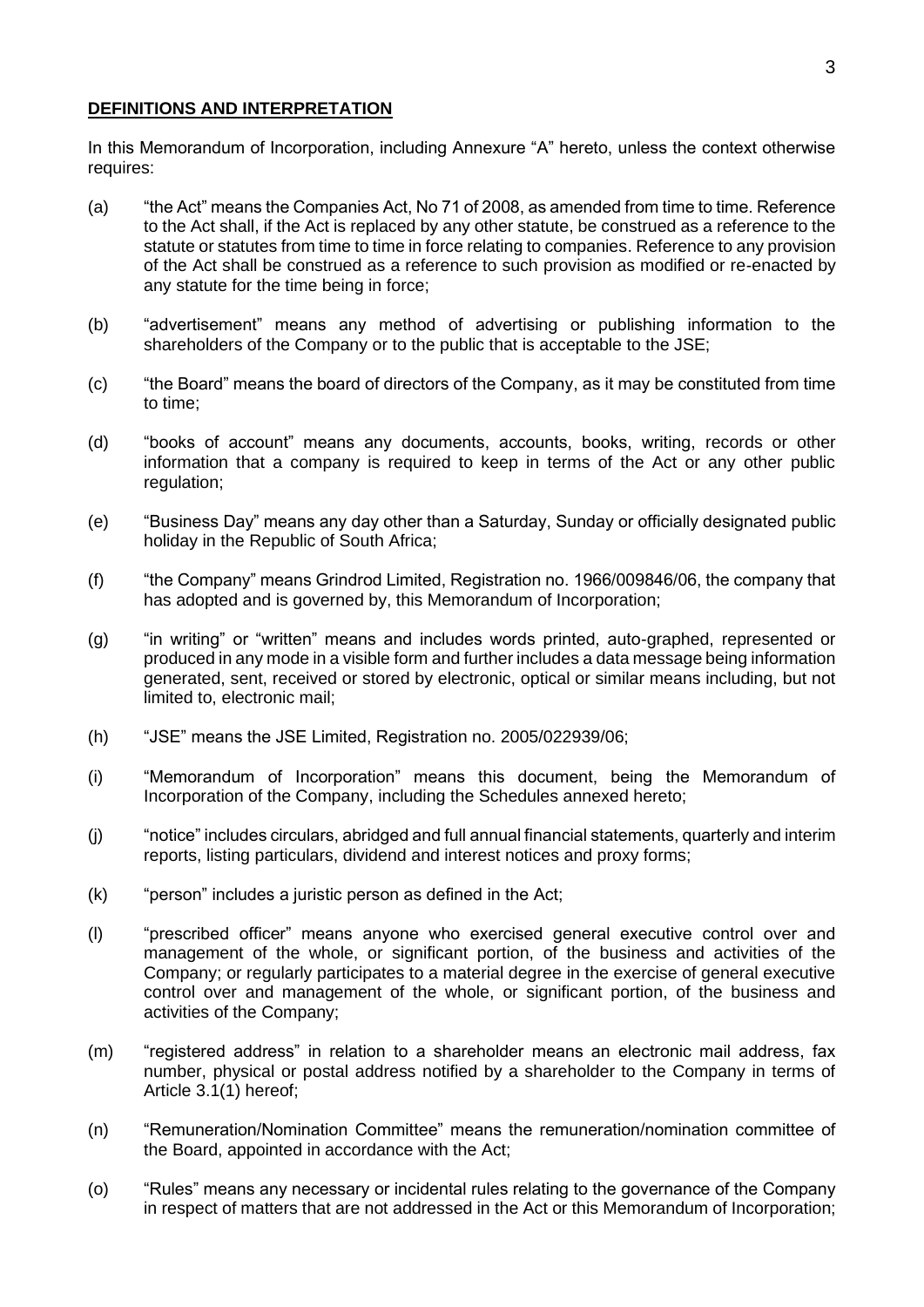#### **DEFINITIONS AND INTERPRETATION**

In this Memorandum of Incorporation, including Annexure "A" hereto, unless the context otherwise requires:

- (a) "the Act" means the Companies Act, No 71 of 2008, as amended from time to time. Reference to the Act shall, if the Act is replaced by any other statute, be construed as a reference to the statute or statutes from time to time in force relating to companies. Reference to any provision of the Act shall be construed as a reference to such provision as modified or re-enacted by any statute for the time being in force;
- (b) "advertisement" means any method of advertising or publishing information to the shareholders of the Company or to the public that is acceptable to the JSE;
- (c) "the Board" means the board of directors of the Company, as it may be constituted from time to time;
- (d) "books of account" means any documents, accounts, books, writing, records or other information that a company is required to keep in terms of the Act or any other public regulation;
- (e) "Business Day" means any day other than a Saturday, Sunday or officially designated public holiday in the Republic of South Africa;
- (f) "the Company" means Grindrod Limited, Registration no. 1966/009846/06, the company that has adopted and is governed by, this Memorandum of Incorporation;
- (g) "in writing" or "written" means and includes words printed, auto-graphed, represented or produced in any mode in a visible form and further includes a data message being information generated, sent, received or stored by electronic, optical or similar means including, but not limited to, electronic mail;
- (h) "JSE" means the JSE Limited, Registration no. 2005/022939/06;
- (i) "Memorandum of Incorporation" means this document, being the Memorandum of Incorporation of the Company, including the Schedules annexed hereto;
- (j) "notice" includes circulars, abridged and full annual financial statements, quarterly and interim reports, listing particulars, dividend and interest notices and proxy forms;
- (k) "person" includes a juristic person as defined in the Act;
- (l) "prescribed officer" means anyone who exercised general executive control over and management of the whole, or significant portion, of the business and activities of the Company; or regularly participates to a material degree in the exercise of general executive control over and management of the whole, or significant portion, of the business and activities of the Company;
- (m) "registered address" in relation to a shareholder means an electronic mail address, fax number, physical or postal address notified by a shareholder to the Company in terms of Article 3.1(1) hereof;
- (n) "Remuneration/Nomination Committee" means the remuneration/nomination committee of the Board, appointed in accordance with the Act;
- (o) "Rules" means any necessary or incidental rules relating to the governance of the Company in respect of matters that are not addressed in the Act or this Memorandum of Incorporation;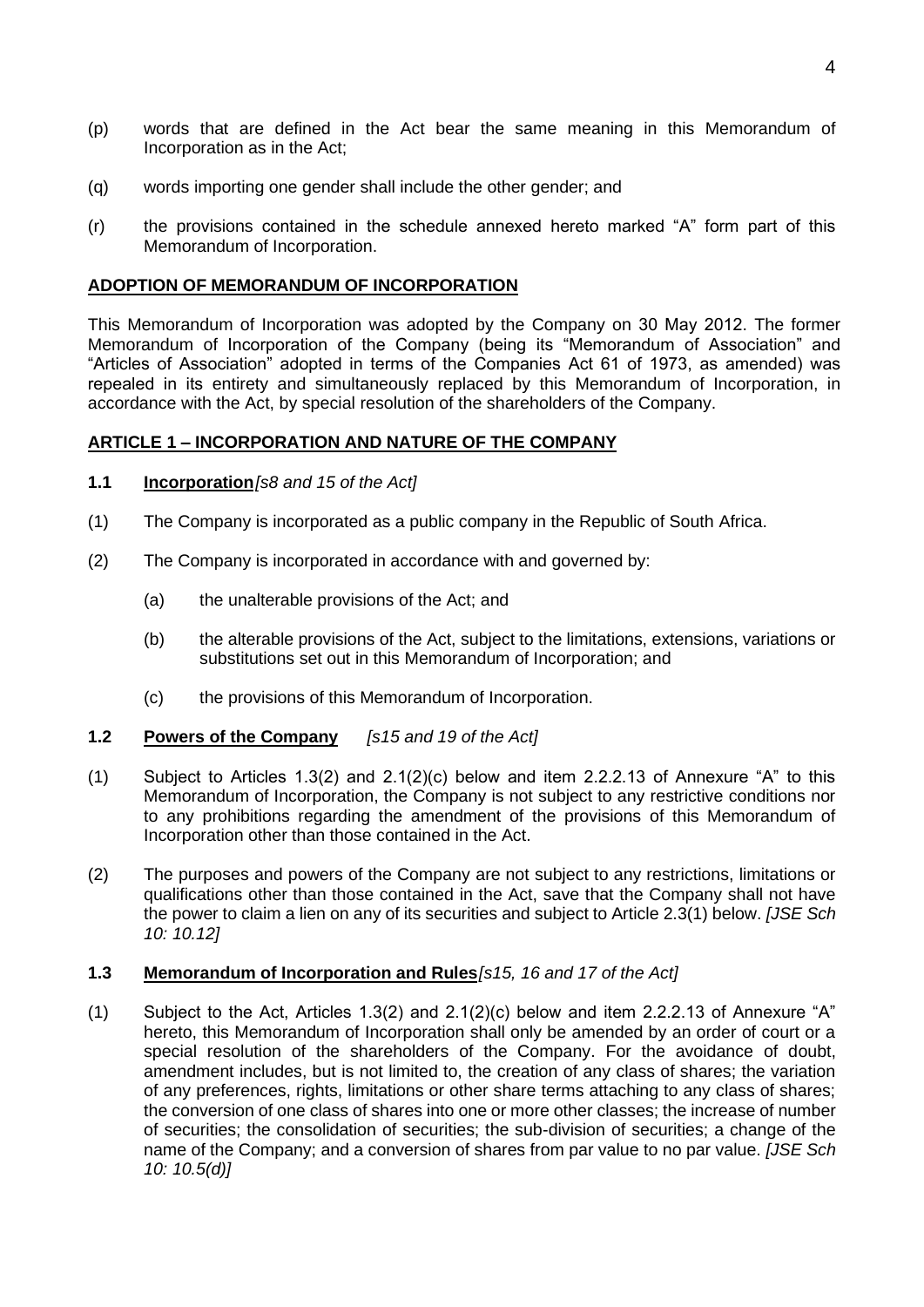- (p) words that are defined in the Act bear the same meaning in this Memorandum of Incorporation as in the Act;
- (q) words importing one gender shall include the other gender; and
- (r) the provisions contained in the schedule annexed hereto marked "A" form part of this Memorandum of Incorporation.

#### **ADOPTION OF MEMORANDUM OF INCORPORATION**

This Memorandum of Incorporation was adopted by the Company on 30 May 2012. The former Memorandum of Incorporation of the Company (being its "Memorandum of Association" and "Articles of Association" adopted in terms of the Companies Act 61 of 1973, as amended) was repealed in its entirety and simultaneously replaced by this Memorandum of Incorporation, in accordance with the Act, by special resolution of the shareholders of the Company.

#### **ARTICLE 1 – INCORPORATION AND NATURE OF THE COMPANY**

- **1.1 Incorporation***[s8 and 15 of the Act]*
- (1) The Company is incorporated as a public company in the Republic of South Africa.
- (2) The Company is incorporated in accordance with and governed by:
	- (a) the unalterable provisions of the Act; and
	- (b) the alterable provisions of the Act, subject to the limitations, extensions, variations or substitutions set out in this Memorandum of Incorporation; and
	- (c) the provisions of this Memorandum of Incorporation.
- **1.2 Powers of the Company** *[s15 and 19 of the Act]*
- (1) Subject to Articles 1.3(2) and 2.1(2)(c) below and item 2.2.2.13 of Annexure "A" to this Memorandum of Incorporation, the Company is not subject to any restrictive conditions nor to any prohibitions regarding the amendment of the provisions of this Memorandum of Incorporation other than those contained in the Act.
- (2) The purposes and powers of the Company are not subject to any restrictions, limitations or qualifications other than those contained in the Act, save that the Company shall not have the power to claim a lien on any of its securities and subject to Article 2.3(1) below. *[JSE Sch 10: 10.12]*

#### **1.3 Memorandum of Incorporation and Rules***[s15, 16 and 17 of the Act]*

(1) Subject to the Act, Articles 1.3(2) and 2.1(2)(c) below and item 2.2.2.13 of Annexure "A" hereto, this Memorandum of Incorporation shall only be amended by an order of court or a special resolution of the shareholders of the Company. For the avoidance of doubt, amendment includes, but is not limited to, the creation of any class of shares; the variation of any preferences, rights, limitations or other share terms attaching to any class of shares; the conversion of one class of shares into one or more other classes; the increase of number of securities; the consolidation of securities; the sub-division of securities; a change of the name of the Company; and a conversion of shares from par value to no par value. *[JSE Sch 10: 10.5(d)]*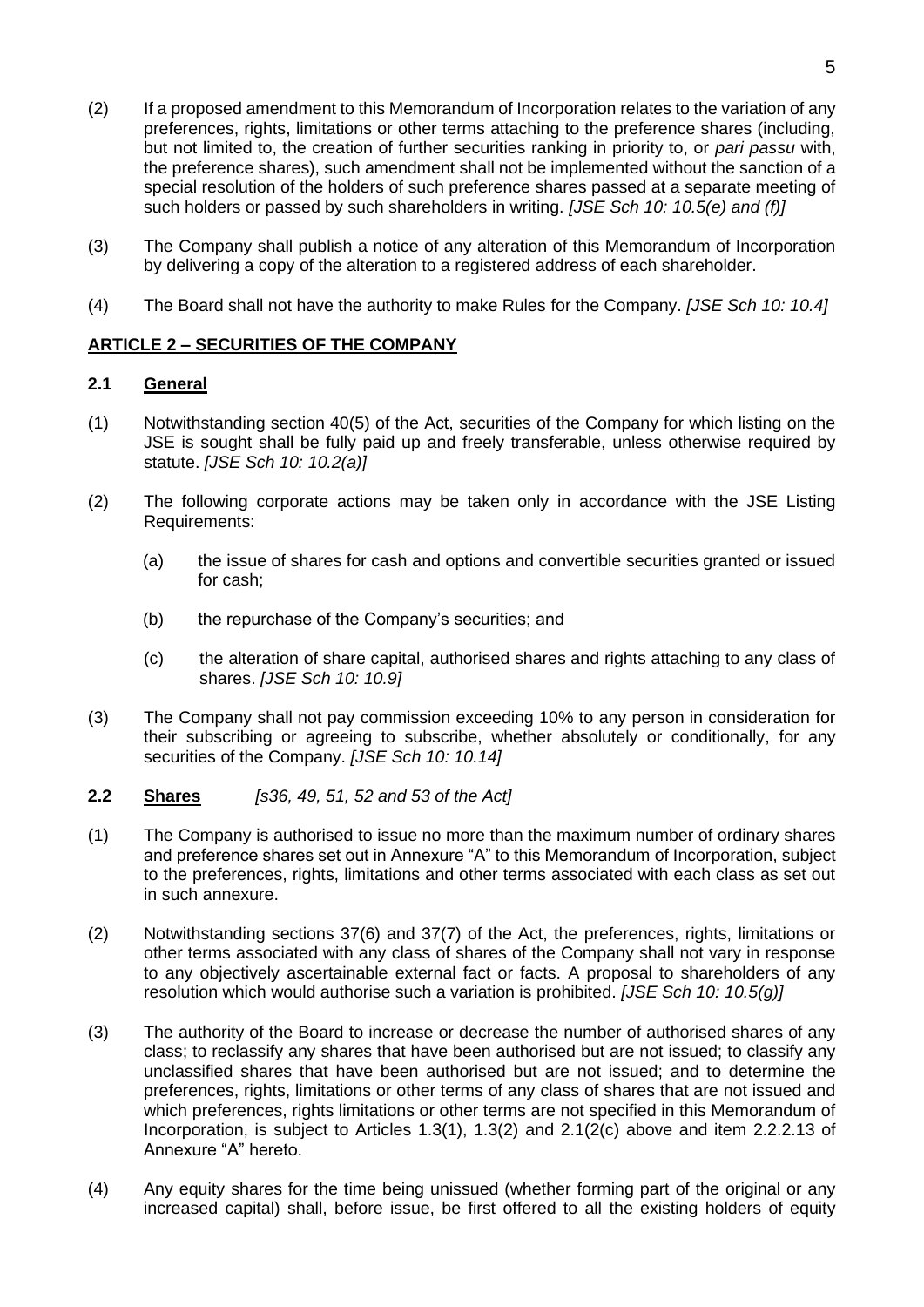- (2) If a proposed amendment to this Memorandum of Incorporation relates to the variation of any preferences, rights, limitations or other terms attaching to the preference shares (including, but not limited to, the creation of further securities ranking in priority to, or *pari passu* with, the preference shares), such amendment shall not be implemented without the sanction of a special resolution of the holders of such preference shares passed at a separate meeting of such holders or passed by such shareholders in writing. *[JSE Sch 10: 10.5(e) and (f)]*
- (3) The Company shall publish a notice of any alteration of this Memorandum of Incorporation by delivering a copy of the alteration to a registered address of each shareholder.
- (4) The Board shall not have the authority to make Rules for the Company. *[JSE Sch 10: 10.4]*

## **ARTICLE 2 – SECURITIES OF THE COMPANY**

#### **2.1 General**

- (1) Notwithstanding section 40(5) of the Act, securities of the Company for which listing on the JSE is sought shall be fully paid up and freely transferable, unless otherwise required by statute. *[JSE Sch 10: 10.2(a)]*
- (2) The following corporate actions may be taken only in accordance with the JSE Listing Requirements:
	- (a) the issue of shares for cash and options and convertible securities granted or issued for cash;
	- (b) the repurchase of the Company's securities; and
	- (c) the alteration of share capital, authorised shares and rights attaching to any class of shares. *[JSE Sch 10: 10.9]*
- (3) The Company shall not pay commission exceeding 10% to any person in consideration for their subscribing or agreeing to subscribe, whether absolutely or conditionally, for any securities of the Company. *[JSE Sch 10: 10.14]*
- **2.2 Shares** *[s36, 49, 51, 52 and 53 of the Act]*
- (1) The Company is authorised to issue no more than the maximum number of ordinary shares and preference shares set out in Annexure "A" to this Memorandum of Incorporation, subject to the preferences, rights, limitations and other terms associated with each class as set out in such annexure.
- (2) Notwithstanding sections 37(6) and 37(7) of the Act, the preferences, rights, limitations or other terms associated with any class of shares of the Company shall not vary in response to any objectively ascertainable external fact or facts. A proposal to shareholders of any resolution which would authorise such a variation is prohibited. *[JSE Sch 10: 10.5(g)]*
- (3) The authority of the Board to increase or decrease the number of authorised shares of any class; to reclassify any shares that have been authorised but are not issued; to classify any unclassified shares that have been authorised but are not issued; and to determine the preferences, rights, limitations or other terms of any class of shares that are not issued and which preferences, rights limitations or other terms are not specified in this Memorandum of Incorporation, is subject to Articles 1.3(1), 1.3(2) and 2.1(2(c) above and item 2.2.2.13 of Annexure "A" hereto.
- (4) Any equity shares for the time being unissued (whether forming part of the original or any increased capital) shall, before issue, be first offered to all the existing holders of equity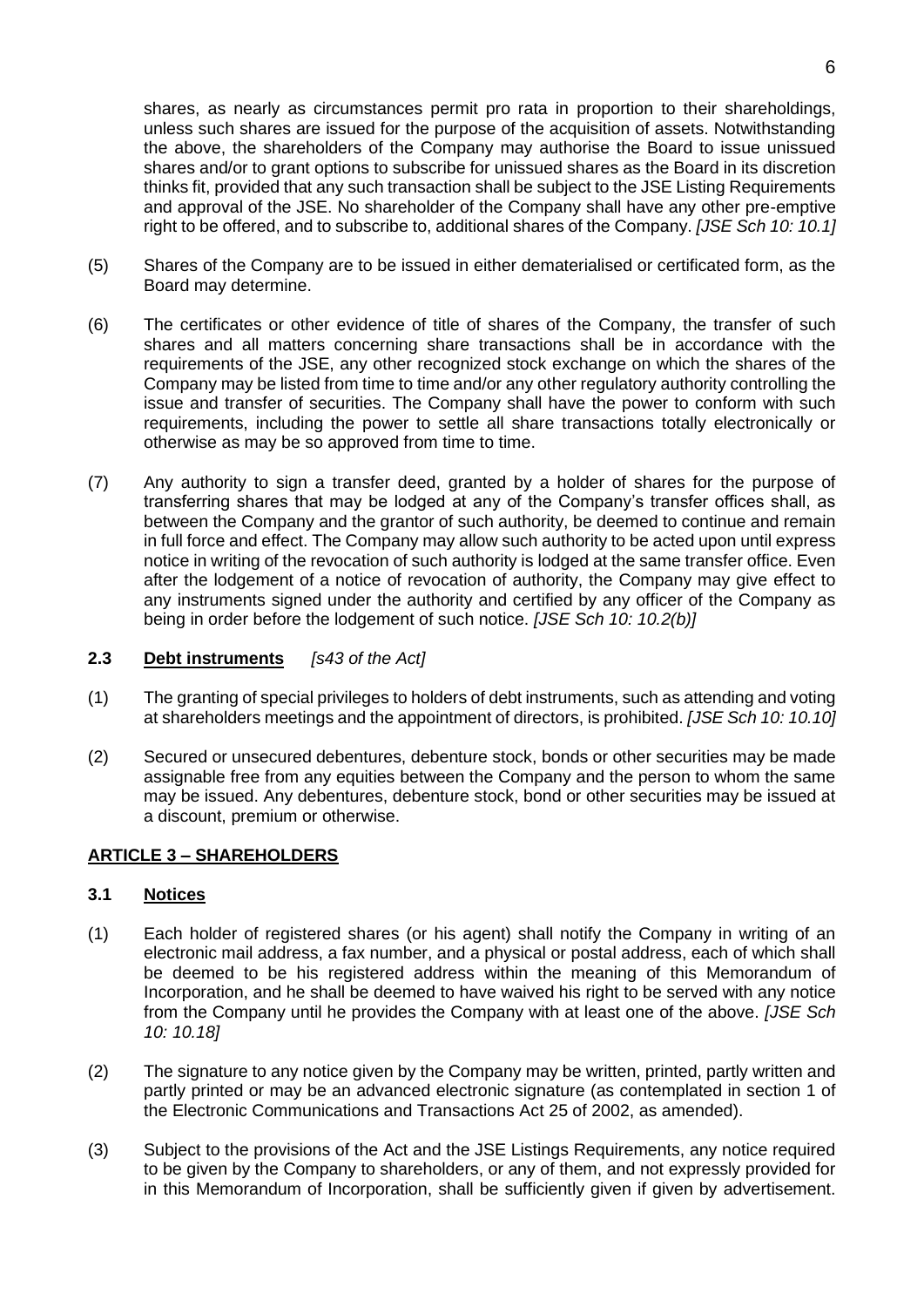shares, as nearly as circumstances permit pro rata in proportion to their shareholdings, unless such shares are issued for the purpose of the acquisition of assets. Notwithstanding the above, the shareholders of the Company may authorise the Board to issue unissued shares and/or to grant options to subscribe for unissued shares as the Board in its discretion thinks fit, provided that any such transaction shall be subject to the JSE Listing Requirements and approval of the JSE. No shareholder of the Company shall have any other pre-emptive right to be offered, and to subscribe to, additional shares of the Company. *[JSE Sch 10: 10.1]*

- (5) Shares of the Company are to be issued in either dematerialised or certificated form, as the Board may determine.
- (6) The certificates or other evidence of title of shares of the Company, the transfer of such shares and all matters concerning share transactions shall be in accordance with the requirements of the JSE, any other recognized stock exchange on which the shares of the Company may be listed from time to time and/or any other regulatory authority controlling the issue and transfer of securities. The Company shall have the power to conform with such requirements, including the power to settle all share transactions totally electronically or otherwise as may be so approved from time to time.
- (7) Any authority to sign a transfer deed, granted by a holder of shares for the purpose of transferring shares that may be lodged at any of the Company's transfer offices shall, as between the Company and the grantor of such authority, be deemed to continue and remain in full force and effect. The Company may allow such authority to be acted upon until express notice in writing of the revocation of such authority is lodged at the same transfer office. Even after the lodgement of a notice of revocation of authority, the Company may give effect to any instruments signed under the authority and certified by any officer of the Company as being in order before the lodgement of such notice. *[JSE Sch 10: 10.2(b)]*

## **2.3 Debt instruments** *[s43 of the Act]*

- (1) The granting of special privileges to holders of debt instruments, such as attending and voting at shareholders meetings and the appointment of directors, is prohibited. *[JSE Sch 10: 10.10]*
- (2) Secured or unsecured debentures, debenture stock, bonds or other securities may be made assignable free from any equities between the Company and the person to whom the same may be issued. Any debentures, debenture stock, bond or other securities may be issued at a discount, premium or otherwise.

## **ARTICLE 3 – SHAREHOLDERS**

## **3.1 Notices**

- (1) Each holder of registered shares (or his agent) shall notify the Company in writing of an electronic mail address, a fax number, and a physical or postal address, each of which shall be deemed to be his registered address within the meaning of this Memorandum of Incorporation, and he shall be deemed to have waived his right to be served with any notice from the Company until he provides the Company with at least one of the above. *[JSE Sch 10: 10.18]*
- (2) The signature to any notice given by the Company may be written, printed, partly written and partly printed or may be an advanced electronic signature (as contemplated in section 1 of the Electronic Communications and Transactions Act 25 of 2002, as amended).
- (3) Subject to the provisions of the Act and the JSE Listings Requirements, any notice required to be given by the Company to shareholders, or any of them, and not expressly provided for in this Memorandum of Incorporation, shall be sufficiently given if given by advertisement.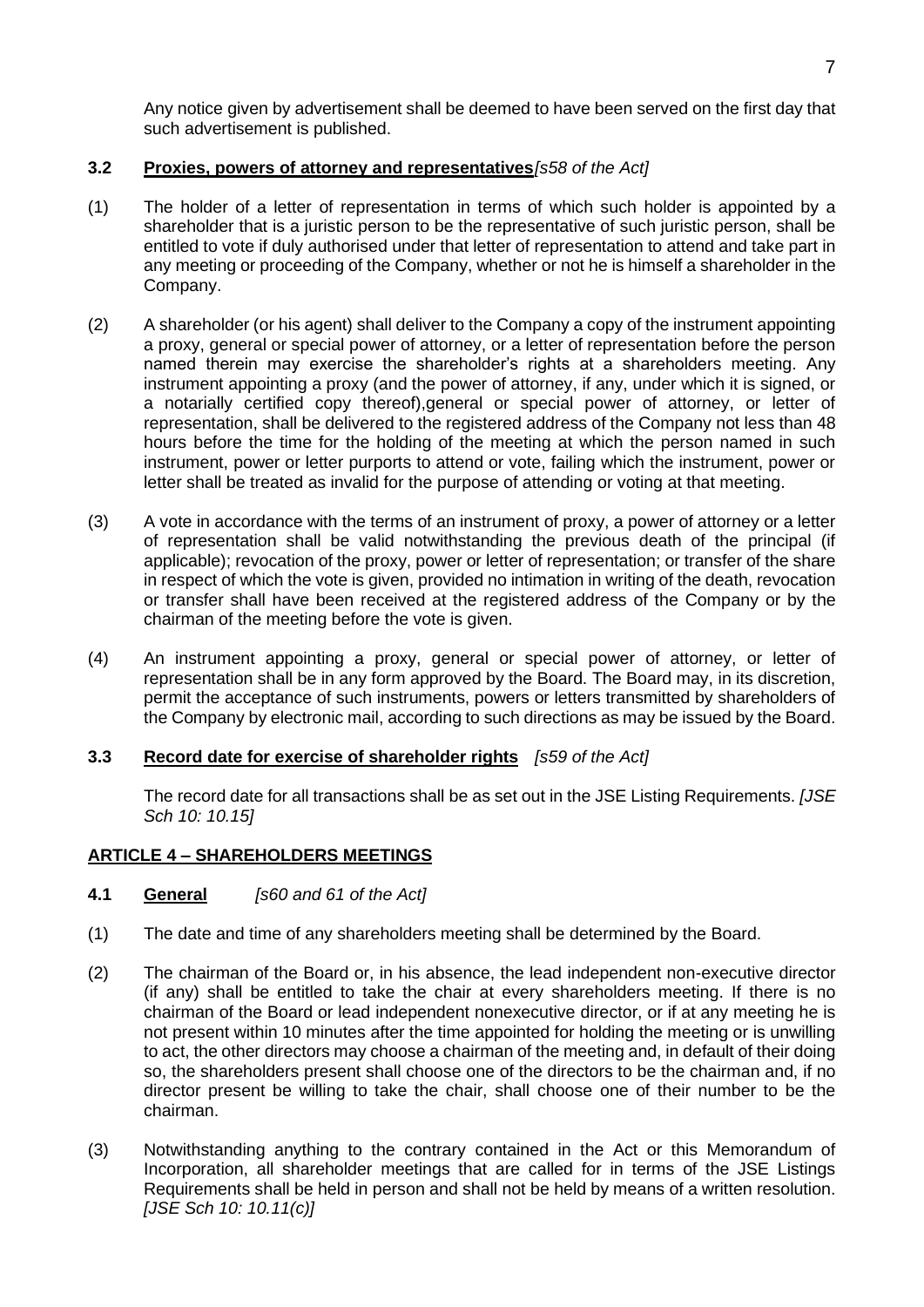Any notice given by advertisement shall be deemed to have been served on the first day that such advertisement is published.

## **3.2 Proxies, powers of attorney and representatives***[s58 of the Act]*

- (1) The holder of a letter of representation in terms of which such holder is appointed by a shareholder that is a juristic person to be the representative of such juristic person, shall be entitled to vote if duly authorised under that letter of representation to attend and take part in any meeting or proceeding of the Company, whether or not he is himself a shareholder in the Company.
- (2) A shareholder (or his agent) shall deliver to the Company a copy of the instrument appointing a proxy, general or special power of attorney, or a letter of representation before the person named therein may exercise the shareholder's rights at a shareholders meeting. Any instrument appointing a proxy (and the power of attorney, if any, under which it is signed, or a notarially certified copy thereof),general or special power of attorney, or letter of representation, shall be delivered to the registered address of the Company not less than 48 hours before the time for the holding of the meeting at which the person named in such instrument, power or letter purports to attend or vote, failing which the instrument, power or letter shall be treated as invalid for the purpose of attending or voting at that meeting.
- (3) A vote in accordance with the terms of an instrument of proxy, a power of attorney or a letter of representation shall be valid notwithstanding the previous death of the principal (if applicable); revocation of the proxy, power or letter of representation; or transfer of the share in respect of which the vote is given, provided no intimation in writing of the death, revocation or transfer shall have been received at the registered address of the Company or by the chairman of the meeting before the vote is given.
- (4) An instrument appointing a proxy, general or special power of attorney, or letter of representation shall be in any form approved by the Board. The Board may, in its discretion, permit the acceptance of such instruments, powers or letters transmitted by shareholders of the Company by electronic mail, according to such directions as may be issued by the Board.

## **3.3 Record date for exercise of shareholder rights** *[s59 of the Act]*

The record date for all transactions shall be as set out in the JSE Listing Requirements. *[JSE Sch 10: 10.15]*

## **ARTICLE 4 – SHAREHOLDERS MEETINGS**

- **4.1 General** *[s60 and 61 of the Act]*
- (1) The date and time of any shareholders meeting shall be determined by the Board.
- (2) The chairman of the Board or, in his absence, the lead independent non-executive director (if any) shall be entitled to take the chair at every shareholders meeting. If there is no chairman of the Board or lead independent nonexecutive director, or if at any meeting he is not present within 10 minutes after the time appointed for holding the meeting or is unwilling to act, the other directors may choose a chairman of the meeting and, in default of their doing so, the shareholders present shall choose one of the directors to be the chairman and, if no director present be willing to take the chair, shall choose one of their number to be the chairman.
- (3) Notwithstanding anything to the contrary contained in the Act or this Memorandum of Incorporation, all shareholder meetings that are called for in terms of the JSE Listings Requirements shall be held in person and shall not be held by means of a written resolution. *[JSE Sch 10: 10.11(c)]*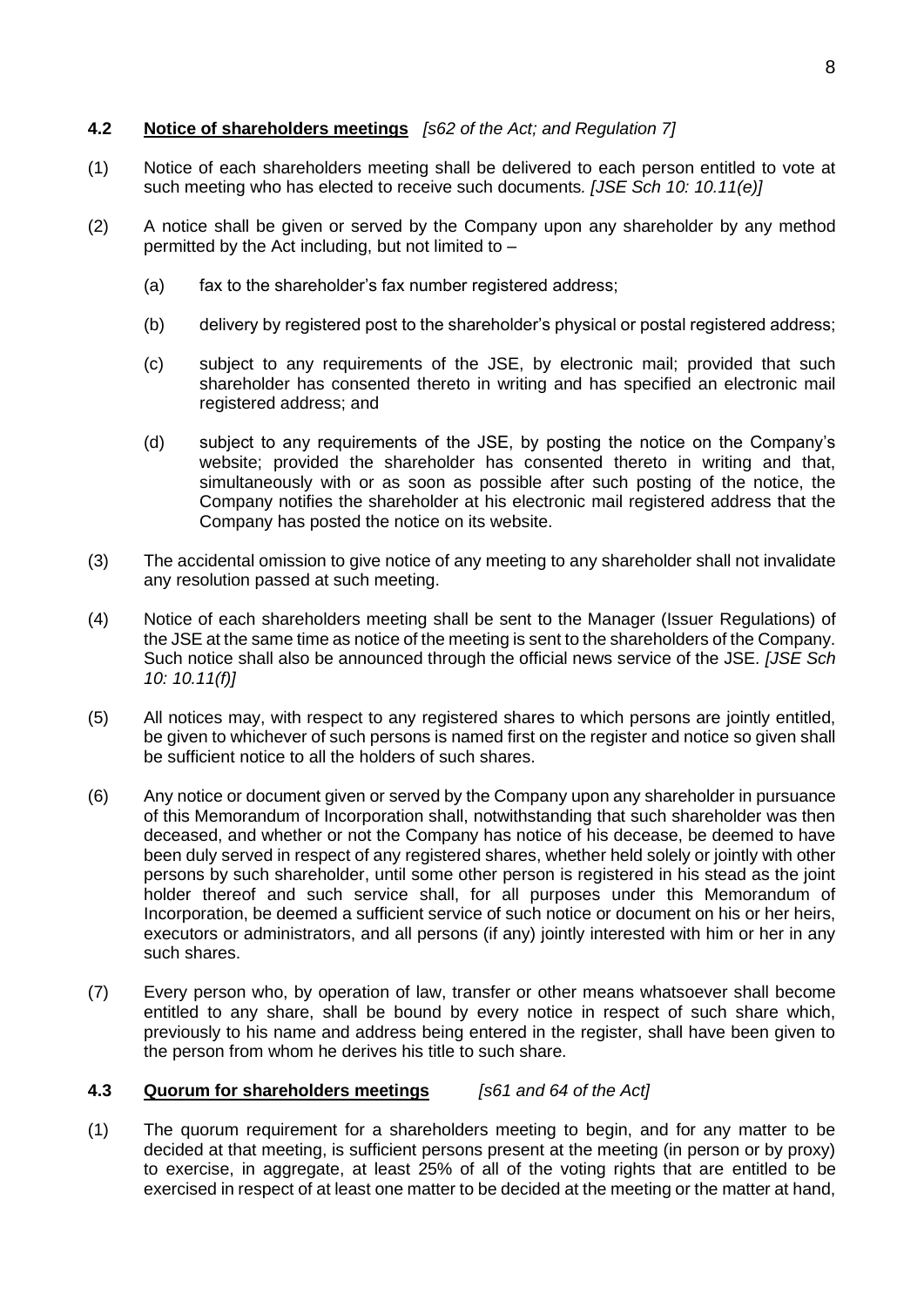## **4.2 Notice of shareholders meetings** *[s62 of the Act; and Regulation 7]*

- (1) Notice of each shareholders meeting shall be delivered to each person entitled to vote at such meeting who has elected to receive such documents*. [JSE Sch 10: 10.11(e)]*
- (2) A notice shall be given or served by the Company upon any shareholder by any method permitted by the Act including, but not limited to –
	- (a) fax to the shareholder's fax number registered address;
	- (b) delivery by registered post to the shareholder's physical or postal registered address;
	- (c) subject to any requirements of the JSE, by electronic mail; provided that such shareholder has consented thereto in writing and has specified an electronic mail registered address; and
	- (d) subject to any requirements of the JSE, by posting the notice on the Company's website; provided the shareholder has consented thereto in writing and that, simultaneously with or as soon as possible after such posting of the notice, the Company notifies the shareholder at his electronic mail registered address that the Company has posted the notice on its website.
- (3) The accidental omission to give notice of any meeting to any shareholder shall not invalidate any resolution passed at such meeting.
- (4) Notice of each shareholders meeting shall be sent to the Manager (Issuer Regulations) of the JSE at the same time as notice of the meeting is sent to the shareholders of the Company. Such notice shall also be announced through the official news service of the JSE*. [JSE Sch 10: 10.11(f)]*
- (5) All notices may, with respect to any registered shares to which persons are jointly entitled, be given to whichever of such persons is named first on the register and notice so given shall be sufficient notice to all the holders of such shares.
- (6) Any notice or document given or served by the Company upon any shareholder in pursuance of this Memorandum of Incorporation shall, notwithstanding that such shareholder was then deceased, and whether or not the Company has notice of his decease, be deemed to have been duly served in respect of any registered shares, whether held solely or jointly with other persons by such shareholder, until some other person is registered in his stead as the joint holder thereof and such service shall, for all purposes under this Memorandum of Incorporation, be deemed a sufficient service of such notice or document on his or her heirs, executors or administrators, and all persons (if any) jointly interested with him or her in any such shares.
- (7) Every person who, by operation of law, transfer or other means whatsoever shall become entitled to any share, shall be bound by every notice in respect of such share which, previously to his name and address being entered in the register, shall have been given to the person from whom he derives his title to such share.

## **4.3 Quorum for shareholders meetings** *[s61 and 64 of the Act]*

(1) The quorum requirement for a shareholders meeting to begin, and for any matter to be decided at that meeting, is sufficient persons present at the meeting (in person or by proxy) to exercise, in aggregate, at least 25% of all of the voting rights that are entitled to be exercised in respect of at least one matter to be decided at the meeting or the matter at hand,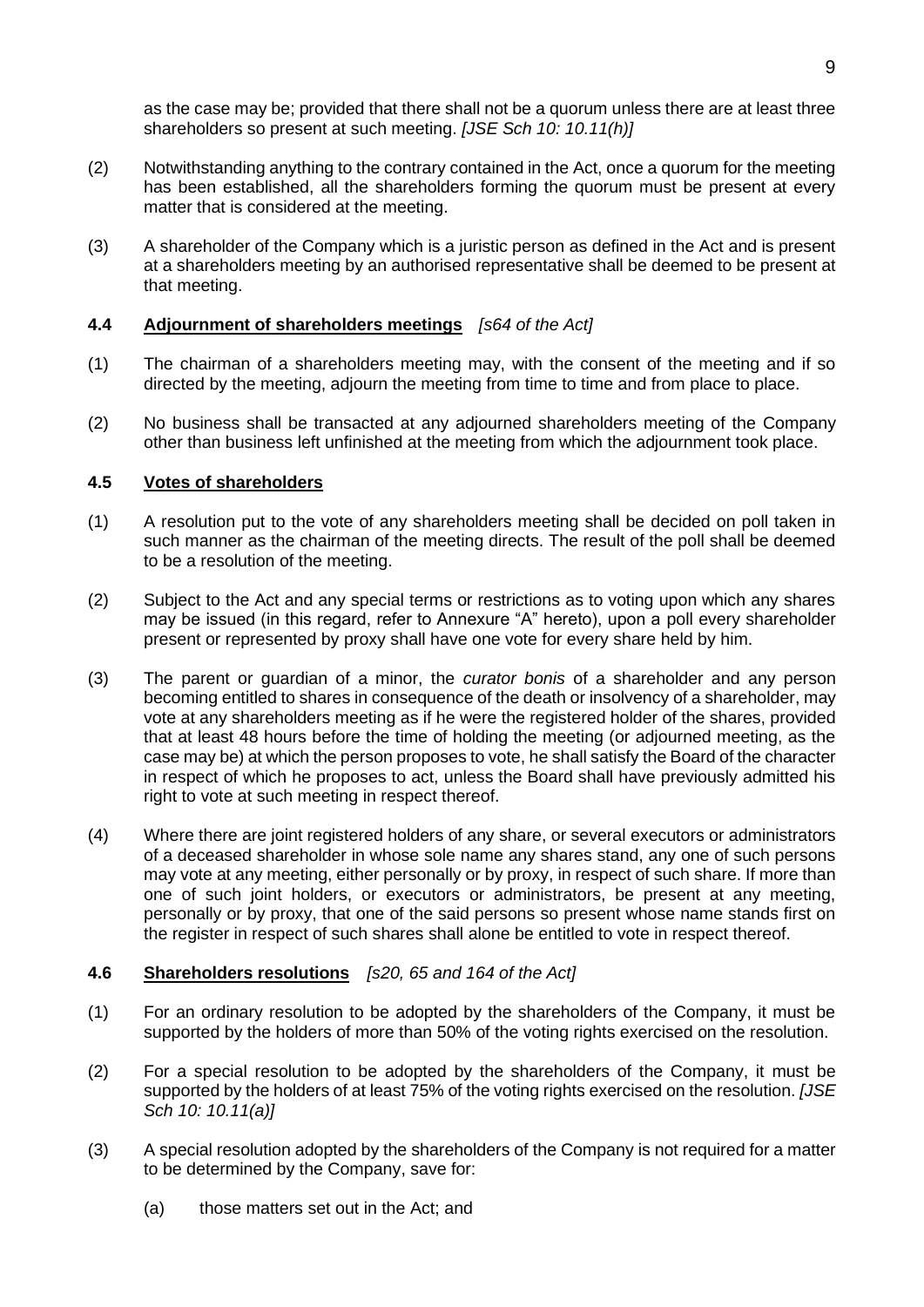as the case may be; provided that there shall not be a quorum unless there are at least three shareholders so present at such meeting. *[JSE Sch 10: 10.11(h)]*

- (2) Notwithstanding anything to the contrary contained in the Act, once a quorum for the meeting has been established, all the shareholders forming the quorum must be present at every matter that is considered at the meeting.
- (3) A shareholder of the Company which is a juristic person as defined in the Act and is present at a shareholders meeting by an authorised representative shall be deemed to be present at that meeting.

#### **4.4 Adjournment of shareholders meetings** *[s64 of the Act]*

- (1) The chairman of a shareholders meeting may, with the consent of the meeting and if so directed by the meeting, adjourn the meeting from time to time and from place to place.
- (2) No business shall be transacted at any adjourned shareholders meeting of the Company other than business left unfinished at the meeting from which the adjournment took place.

#### **4.5 Votes of shareholders**

- (1) A resolution put to the vote of any shareholders meeting shall be decided on poll taken in such manner as the chairman of the meeting directs. The result of the poll shall be deemed to be a resolution of the meeting.
- (2) Subject to the Act and any special terms or restrictions as to voting upon which any shares may be issued (in this regard, refer to Annexure "A" hereto), upon a poll every shareholder present or represented by proxy shall have one vote for every share held by him.
- (3) The parent or guardian of a minor, the *curator bonis* of a shareholder and any person becoming entitled to shares in consequence of the death or insolvency of a shareholder, may vote at any shareholders meeting as if he were the registered holder of the shares, provided that at least 48 hours before the time of holding the meeting (or adjourned meeting, as the case may be) at which the person proposes to vote, he shall satisfy the Board of the character in respect of which he proposes to act, unless the Board shall have previously admitted his right to vote at such meeting in respect thereof.
- (4) Where there are joint registered holders of any share, or several executors or administrators of a deceased shareholder in whose sole name any shares stand, any one of such persons may vote at any meeting, either personally or by proxy, in respect of such share. If more than one of such joint holders, or executors or administrators, be present at any meeting, personally or by proxy, that one of the said persons so present whose name stands first on the register in respect of such shares shall alone be entitled to vote in respect thereof.

## **4.6 Shareholders resolutions** *[s20, 65 and 164 of the Act]*

- (1) For an ordinary resolution to be adopted by the shareholders of the Company, it must be supported by the holders of more than 50% of the voting rights exercised on the resolution.
- (2) For a special resolution to be adopted by the shareholders of the Company, it must be supported by the holders of at least 75% of the voting rights exercised on the resolution. *[JSE Sch 10: 10.11(a)]*
- (3) A special resolution adopted by the shareholders of the Company is not required for a matter to be determined by the Company, save for:
	- (a) those matters set out in the Act; and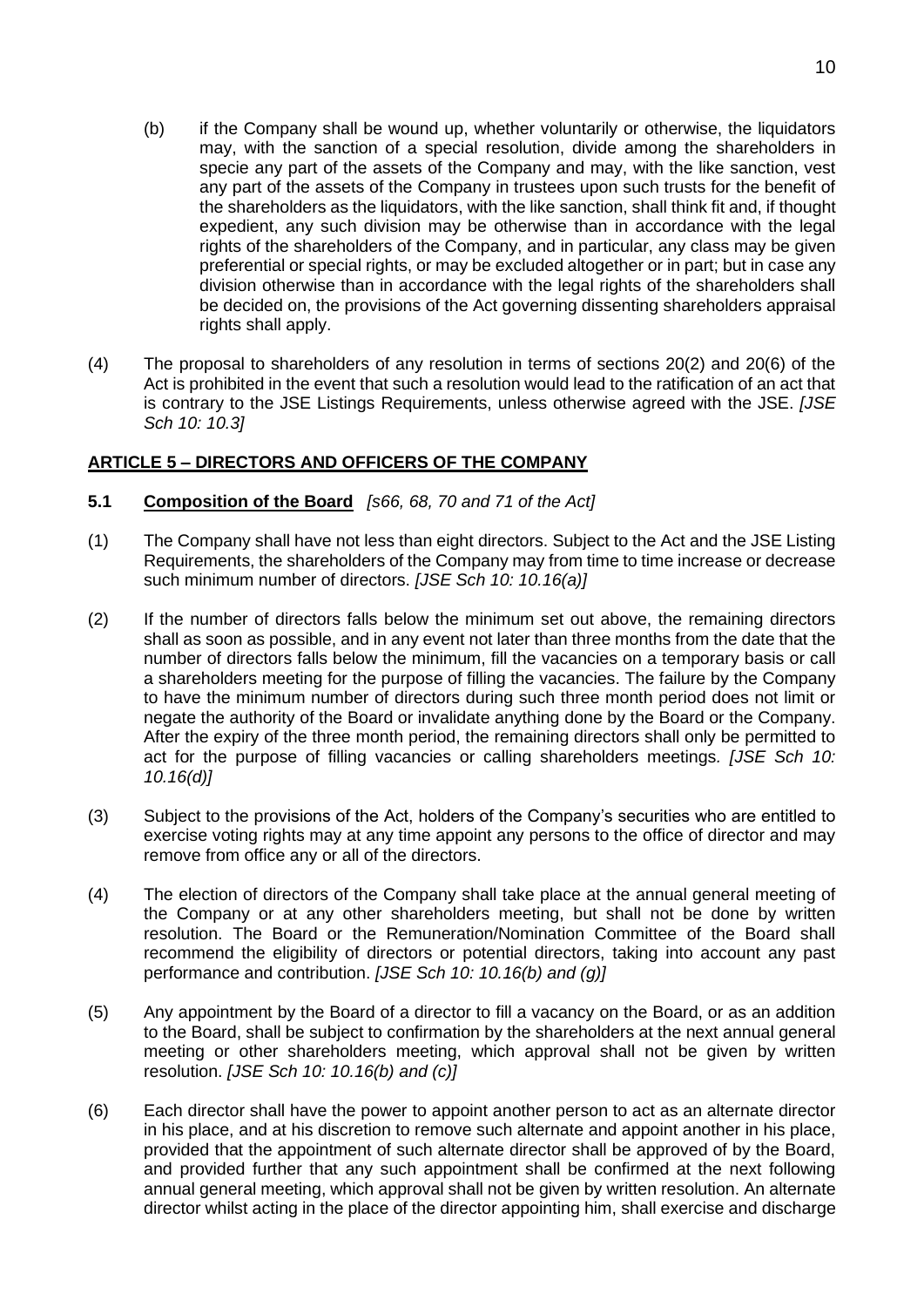- (b) if the Company shall be wound up, whether voluntarily or otherwise, the liquidators may, with the sanction of a special resolution, divide among the shareholders in specie any part of the assets of the Company and may, with the like sanction, vest any part of the assets of the Company in trustees upon such trusts for the benefit of the shareholders as the liquidators, with the like sanction, shall think fit and, if thought expedient, any such division may be otherwise than in accordance with the legal rights of the shareholders of the Company, and in particular, any class may be given preferential or special rights, or may be excluded altogether or in part; but in case any division otherwise than in accordance with the legal rights of the shareholders shall be decided on, the provisions of the Act governing dissenting shareholders appraisal rights shall apply.
- (4) The proposal to shareholders of any resolution in terms of sections 20(2) and 20(6) of the Act is prohibited in the event that such a resolution would lead to the ratification of an act that is contrary to the JSE Listings Requirements, unless otherwise agreed with the JSE. *[JSE Sch 10: 10.3]*

## **ARTICLE 5 – DIRECTORS AND OFFICERS OF THE COMPANY**

## **5.1 Composition of the Board** *[s66, 68, 70 and 71 of the Act]*

- (1) The Company shall have not less than eight directors. Subject to the Act and the JSE Listing Requirements, the shareholders of the Company may from time to time increase or decrease such minimum number of directors. *[JSE Sch 10: 10.16(a)]*
- (2) If the number of directors falls below the minimum set out above, the remaining directors shall as soon as possible, and in any event not later than three months from the date that the number of directors falls below the minimum, fill the vacancies on a temporary basis or call a shareholders meeting for the purpose of filling the vacancies. The failure by the Company to have the minimum number of directors during such three month period does not limit or negate the authority of the Board or invalidate anything done by the Board or the Company. After the expiry of the three month period, the remaining directors shall only be permitted to act for the purpose of filling vacancies or calling shareholders meetings*. [JSE Sch 10: 10.16(d)]*
- (3) Subject to the provisions of the Act, holders of the Company's securities who are entitled to exercise voting rights may at any time appoint any persons to the office of director and may remove from office any or all of the directors.
- (4) The election of directors of the Company shall take place at the annual general meeting of the Company or at any other shareholders meeting, but shall not be done by written resolution. The Board or the Remuneration/Nomination Committee of the Board shall recommend the eligibility of directors or potential directors, taking into account any past performance and contribution. *[JSE Sch 10: 10.16(b) and (g)]*
- (5) Any appointment by the Board of a director to fill a vacancy on the Board, or as an addition to the Board, shall be subject to confirmation by the shareholders at the next annual general meeting or other shareholders meeting, which approval shall not be given by written resolution. *[JSE Sch 10: 10.16(b) and (c)]*
- (6) Each director shall have the power to appoint another person to act as an alternate director in his place, and at his discretion to remove such alternate and appoint another in his place, provided that the appointment of such alternate director shall be approved of by the Board, and provided further that any such appointment shall be confirmed at the next following annual general meeting, which approval shall not be given by written resolution. An alternate director whilst acting in the place of the director appointing him, shall exercise and discharge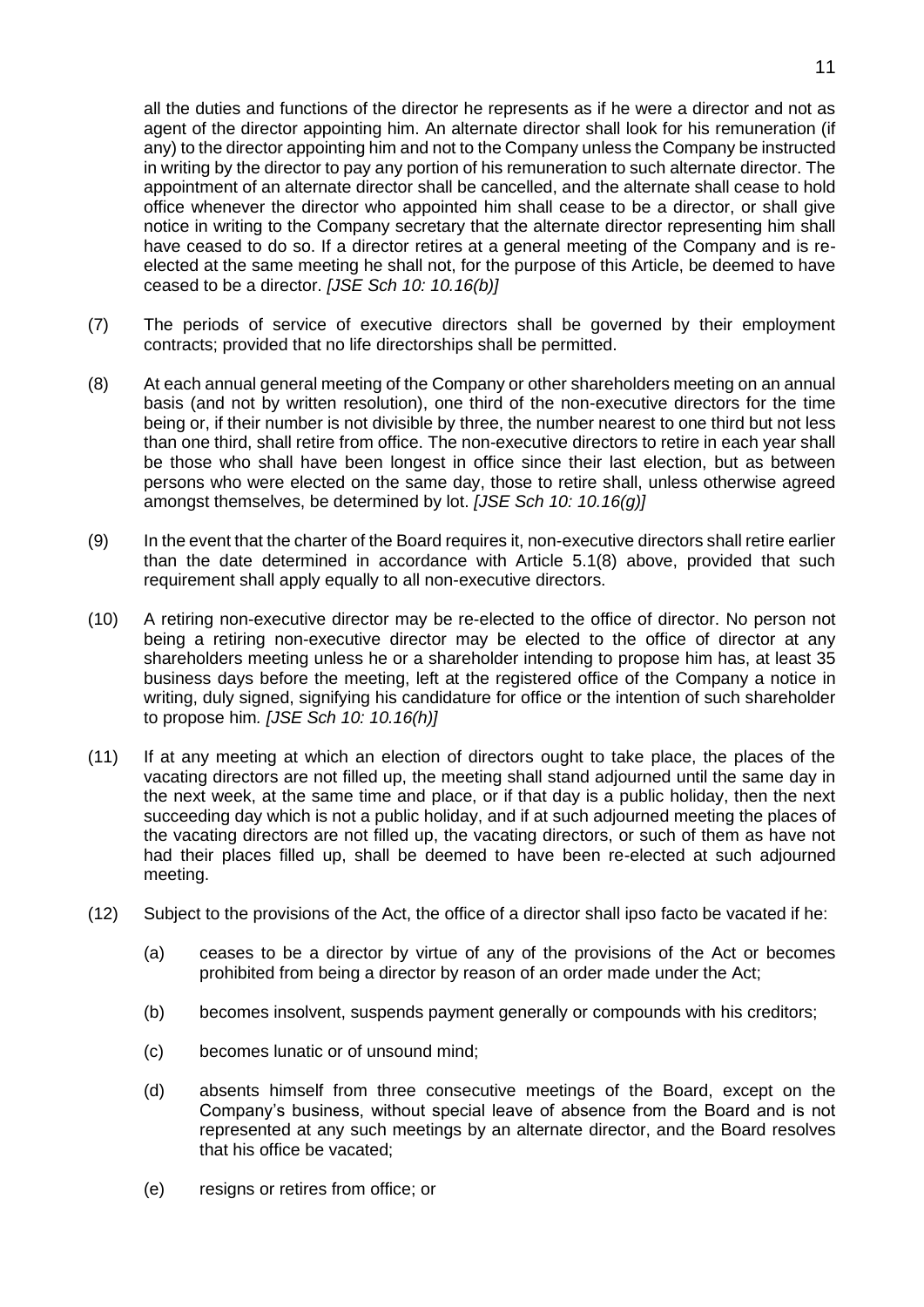all the duties and functions of the director he represents as if he were a director and not as agent of the director appointing him. An alternate director shall look for his remuneration (if any) to the director appointing him and not to the Company unless the Company be instructed in writing by the director to pay any portion of his remuneration to such alternate director. The appointment of an alternate director shall be cancelled, and the alternate shall cease to hold office whenever the director who appointed him shall cease to be a director, or shall give notice in writing to the Company secretary that the alternate director representing him shall have ceased to do so. If a director retires at a general meeting of the Company and is reelected at the same meeting he shall not, for the purpose of this Article, be deemed to have ceased to be a director. *[JSE Sch 10: 10.16(b)]*

- (7) The periods of service of executive directors shall be governed by their employment contracts; provided that no life directorships shall be permitted.
- (8) At each annual general meeting of the Company or other shareholders meeting on an annual basis (and not by written resolution), one third of the non-executive directors for the time being or, if their number is not divisible by three, the number nearest to one third but not less than one third, shall retire from office. The non-executive directors to retire in each year shall be those who shall have been longest in office since their last election, but as between persons who were elected on the same day, those to retire shall, unless otherwise agreed amongst themselves, be determined by lot. *[JSE Sch 10: 10.16(g)]*
- (9) In the event that the charter of the Board requires it, non-executive directors shall retire earlier than the date determined in accordance with Article 5.1(8) above, provided that such requirement shall apply equally to all non-executive directors.
- (10) A retiring non-executive director may be re-elected to the office of director. No person not being a retiring non-executive director may be elected to the office of director at any shareholders meeting unless he or a shareholder intending to propose him has, at least 35 business days before the meeting, left at the registered office of the Company a notice in writing, duly signed, signifying his candidature for office or the intention of such shareholder to propose him*. [JSE Sch 10: 10.16(h)]*
- (11) If at any meeting at which an election of directors ought to take place, the places of the vacating directors are not filled up, the meeting shall stand adjourned until the same day in the next week, at the same time and place, or if that day is a public holiday, then the next succeeding day which is not a public holiday, and if at such adjourned meeting the places of the vacating directors are not filled up, the vacating directors, or such of them as have not had their places filled up, shall be deemed to have been re-elected at such adjourned meeting.
- (12) Subject to the provisions of the Act, the office of a director shall ipso facto be vacated if he:
	- (a) ceases to be a director by virtue of any of the provisions of the Act or becomes prohibited from being a director by reason of an order made under the Act;
	- (b) becomes insolvent, suspends payment generally or compounds with his creditors;
	- (c) becomes lunatic or of unsound mind;
	- (d) absents himself from three consecutive meetings of the Board, except on the Company's business, without special leave of absence from the Board and is not represented at any such meetings by an alternate director, and the Board resolves that his office be vacated;
	- (e) resigns or retires from office; or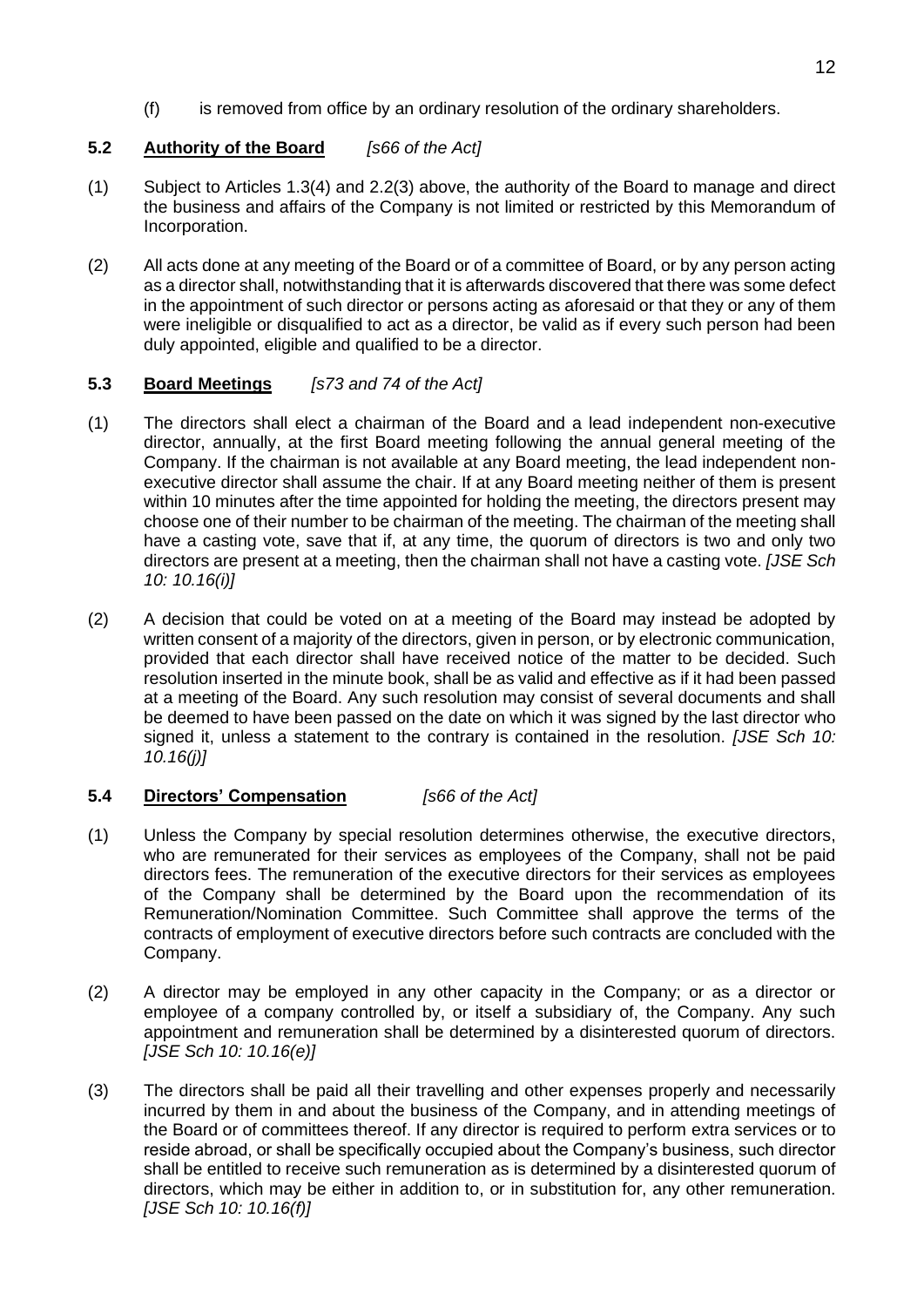(f) is removed from office by an ordinary resolution of the ordinary shareholders.

## **5.2 Authority of the Board** *[s66 of the Act]*

- (1) Subject to Articles 1.3(4) and 2.2(3) above, the authority of the Board to manage and direct the business and affairs of the Company is not limited or restricted by this Memorandum of Incorporation.
- (2) All acts done at any meeting of the Board or of a committee of Board, or by any person acting as a director shall, notwithstanding that it is afterwards discovered that there was some defect in the appointment of such director or persons acting as aforesaid or that they or any of them were ineligible or disqualified to act as a director, be valid as if every such person had been duly appointed, eligible and qualified to be a director.

## **5.3 Board Meetings** *[s73 and 74 of the Act]*

- (1) The directors shall elect a chairman of the Board and a lead independent non-executive director, annually, at the first Board meeting following the annual general meeting of the Company. If the chairman is not available at any Board meeting, the lead independent nonexecutive director shall assume the chair. If at any Board meeting neither of them is present within 10 minutes after the time appointed for holding the meeting, the directors present may choose one of their number to be chairman of the meeting. The chairman of the meeting shall have a casting vote, save that if, at any time, the quorum of directors is two and only two directors are present at a meeting, then the chairman shall not have a casting vote. *[JSE Sch 10: 10.16(i)]*
- (2) A decision that could be voted on at a meeting of the Board may instead be adopted by written consent of a majority of the directors, given in person, or by electronic communication, provided that each director shall have received notice of the matter to be decided. Such resolution inserted in the minute book, shall be as valid and effective as if it had been passed at a meeting of the Board. Any such resolution may consist of several documents and shall be deemed to have been passed on the date on which it was signed by the last director who signed it, unless a statement to the contrary is contained in the resolution. *[JSE Sch 10: 10.16(j)]*

## **5.4 Directors' Compensation** *[s66 of the Act]*

- (1) Unless the Company by special resolution determines otherwise, the executive directors, who are remunerated for their services as employees of the Company, shall not be paid directors fees. The remuneration of the executive directors for their services as employees of the Company shall be determined by the Board upon the recommendation of its Remuneration/Nomination Committee. Such Committee shall approve the terms of the contracts of employment of executive directors before such contracts are concluded with the Company.
- (2) A director may be employed in any other capacity in the Company; or as a director or employee of a company controlled by, or itself a subsidiary of, the Company. Any such appointment and remuneration shall be determined by a disinterested quorum of directors. *[JSE Sch 10: 10.16(e)]*
- (3) The directors shall be paid all their travelling and other expenses properly and necessarily incurred by them in and about the business of the Company, and in attending meetings of the Board or of committees thereof. If any director is required to perform extra services or to reside abroad, or shall be specifically occupied about the Company's business, such director shall be entitled to receive such remuneration as is determined by a disinterested quorum of directors, which may be either in addition to, or in substitution for, any other remuneration. *[JSE Sch 10: 10.16(f)]*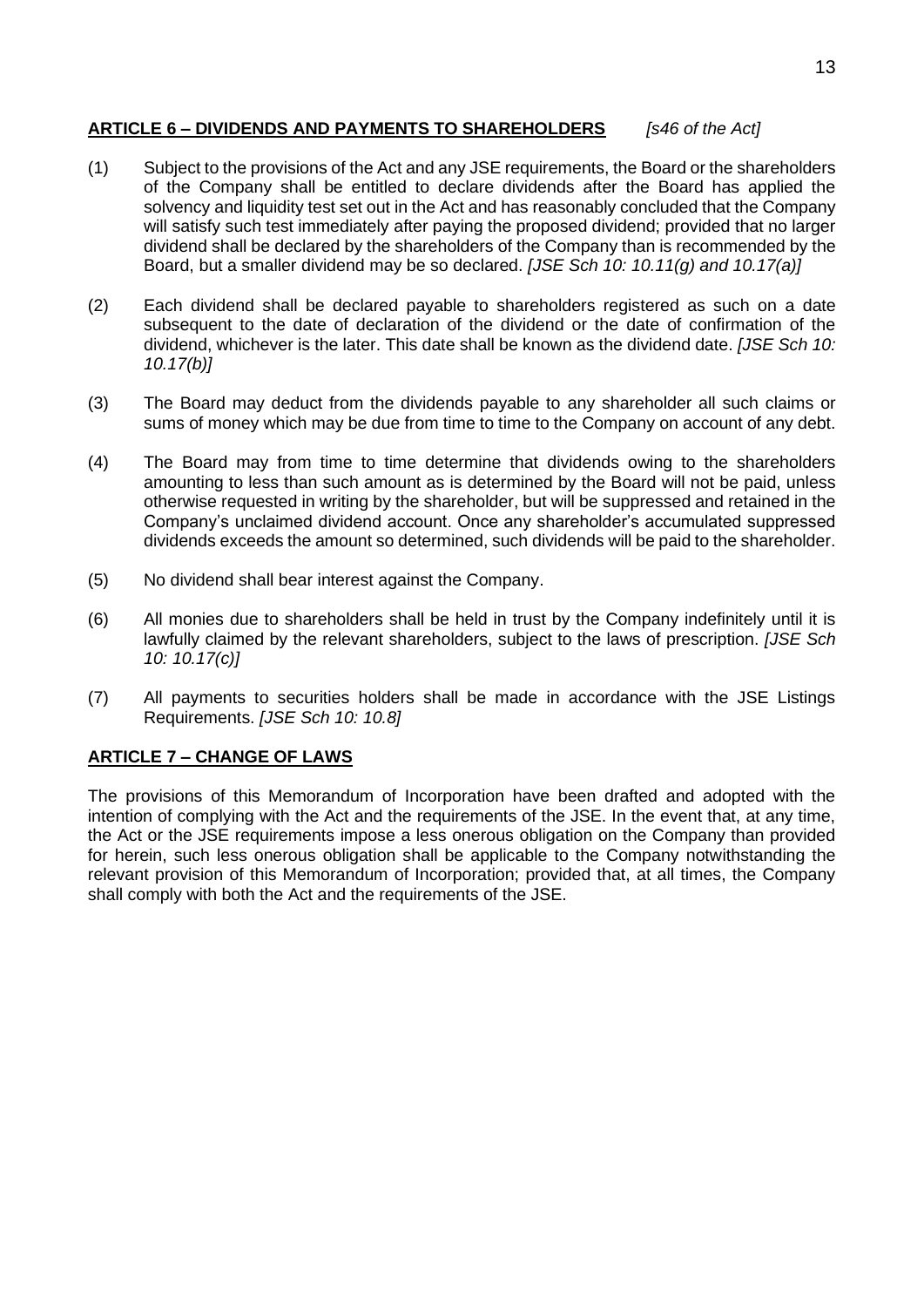## **ARTICLE 6 – DIVIDENDS AND PAYMENTS TO SHAREHOLDERS** *[s46 of the Act]*

- (1) Subject to the provisions of the Act and any JSE requirements, the Board or the shareholders of the Company shall be entitled to declare dividends after the Board has applied the solvency and liquidity test set out in the Act and has reasonably concluded that the Company will satisfy such test immediately after paying the proposed dividend; provided that no larger dividend shall be declared by the shareholders of the Company than is recommended by the Board, but a smaller dividend may be so declared. *[JSE Sch 10: 10.11(g) and 10.17(a)]*
- (2) Each dividend shall be declared payable to shareholders registered as such on a date subsequent to the date of declaration of the dividend or the date of confirmation of the dividend, whichever is the later. This date shall be known as the dividend date. *[JSE Sch 10: 10.17(b)]*
- (3) The Board may deduct from the dividends payable to any shareholder all such claims or sums of money which may be due from time to time to the Company on account of any debt.
- (4) The Board may from time to time determine that dividends owing to the shareholders amounting to less than such amount as is determined by the Board will not be paid, unless otherwise requested in writing by the shareholder, but will be suppressed and retained in the Company's unclaimed dividend account. Once any shareholder's accumulated suppressed dividends exceeds the amount so determined, such dividends will be paid to the shareholder.
- (5) No dividend shall bear interest against the Company.
- (6) All monies due to shareholders shall be held in trust by the Company indefinitely until it is lawfully claimed by the relevant shareholders, subject to the laws of prescription. *[JSE Sch 10: 10.17(c)]*
- (7) All payments to securities holders shall be made in accordance with the JSE Listings Requirements. *[JSE Sch 10: 10.8]*

## **ARTICLE 7 – CHANGE OF LAWS**

The provisions of this Memorandum of Incorporation have been drafted and adopted with the intention of complying with the Act and the requirements of the JSE. In the event that, at any time, the Act or the JSE requirements impose a less onerous obligation on the Company than provided for herein, such less onerous obligation shall be applicable to the Company notwithstanding the relevant provision of this Memorandum of Incorporation; provided that, at all times, the Company shall comply with both the Act and the requirements of the JSE.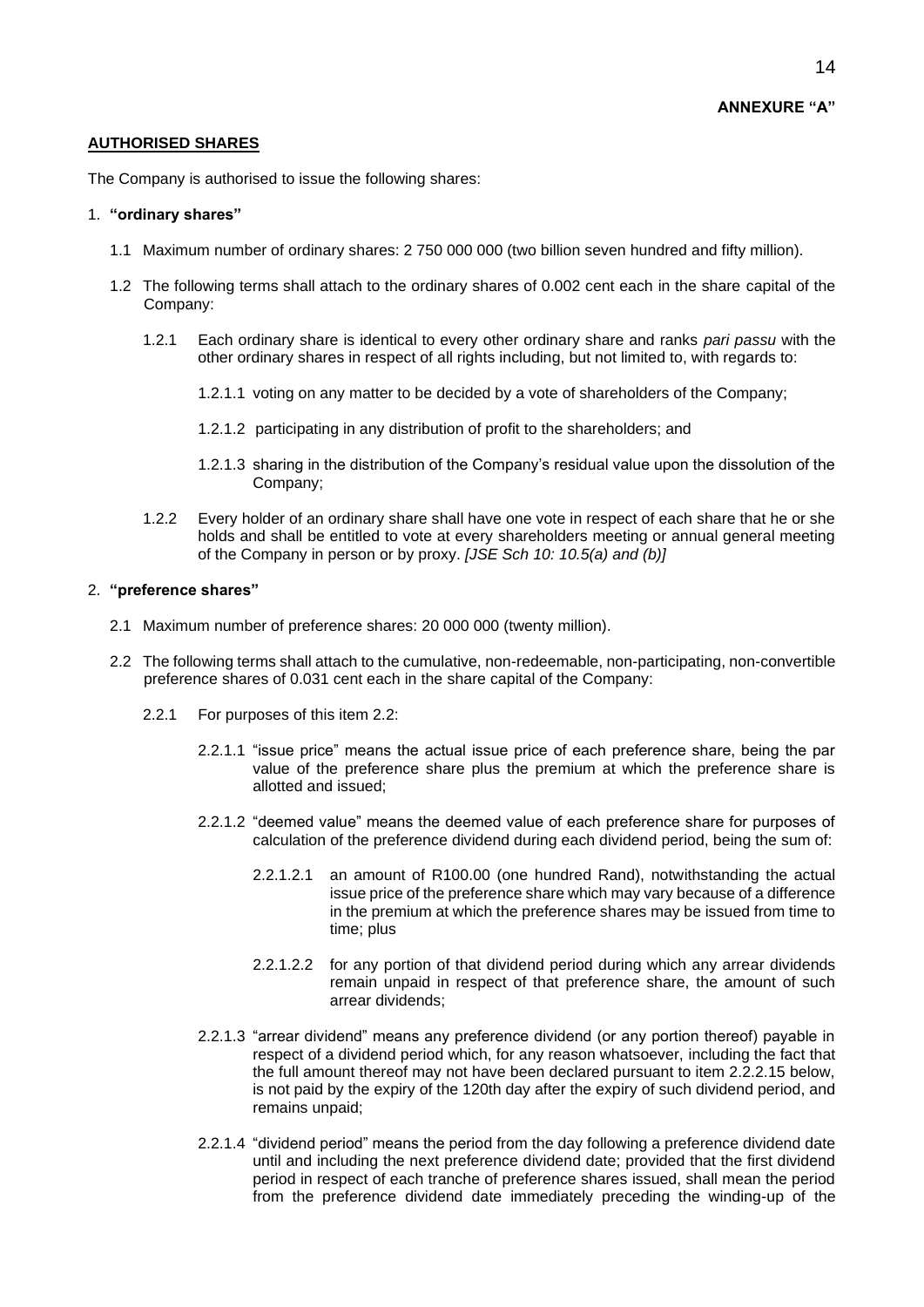#### **AUTHORISED SHARES**

The Company is authorised to issue the following shares:

#### 1. **"ordinary shares"**

- 1.1 Maximum number of ordinary shares: 2 750 000 000 (two billion seven hundred and fifty million).
- 1.2 The following terms shall attach to the ordinary shares of 0.002 cent each in the share capital of the Company:
	- 1.2.1 Each ordinary share is identical to every other ordinary share and ranks *pari passu* with the other ordinary shares in respect of all rights including, but not limited to, with regards to:
		- 1.2.1.1 voting on any matter to be decided by a vote of shareholders of the Company;
		- 1.2.1.2 participating in any distribution of profit to the shareholders; and
		- 1.2.1.3 sharing in the distribution of the Company's residual value upon the dissolution of the Company;
	- 1.2.2 Every holder of an ordinary share shall have one vote in respect of each share that he or she holds and shall be entitled to vote at every shareholders meeting or annual general meeting of the Company in person or by proxy. *[JSE Sch 10: 10.5(a) and (b)]*

#### 2. **"preference shares"**

- 2.1 Maximum number of preference shares: 20 000 000 (twenty million).
- 2.2 The following terms shall attach to the cumulative, non-redeemable, non-participating, non-convertible preference shares of 0.031 cent each in the share capital of the Company:
	- 2.2.1 For purposes of this item 2.2:
		- 2.2.1.1 "issue price" means the actual issue price of each preference share, being the par value of the preference share plus the premium at which the preference share is allotted and issued;
		- 2.2.1.2 "deemed value" means the deemed value of each preference share for purposes of calculation of the preference dividend during each dividend period, being the sum of:
			- 2.2.1.2.1 an amount of R100.00 (one hundred Rand), notwithstanding the actual issue price of the preference share which may vary because of a difference in the premium at which the preference shares may be issued from time to time; plus
			- 2.2.1.2.2 for any portion of that dividend period during which any arrear dividends remain unpaid in respect of that preference share, the amount of such arrear dividends;
		- 2.2.1.3 "arrear dividend" means any preference dividend (or any portion thereof) payable in respect of a dividend period which, for any reason whatsoever, including the fact that the full amount thereof may not have been declared pursuant to item 2.2.2.15 below, is not paid by the expiry of the 120th day after the expiry of such dividend period, and remains unpaid;
		- 2.2.1.4 "dividend period" means the period from the day following a preference dividend date until and including the next preference dividend date; provided that the first dividend period in respect of each tranche of preference shares issued, shall mean the period from the preference dividend date immediately preceding the winding-up of the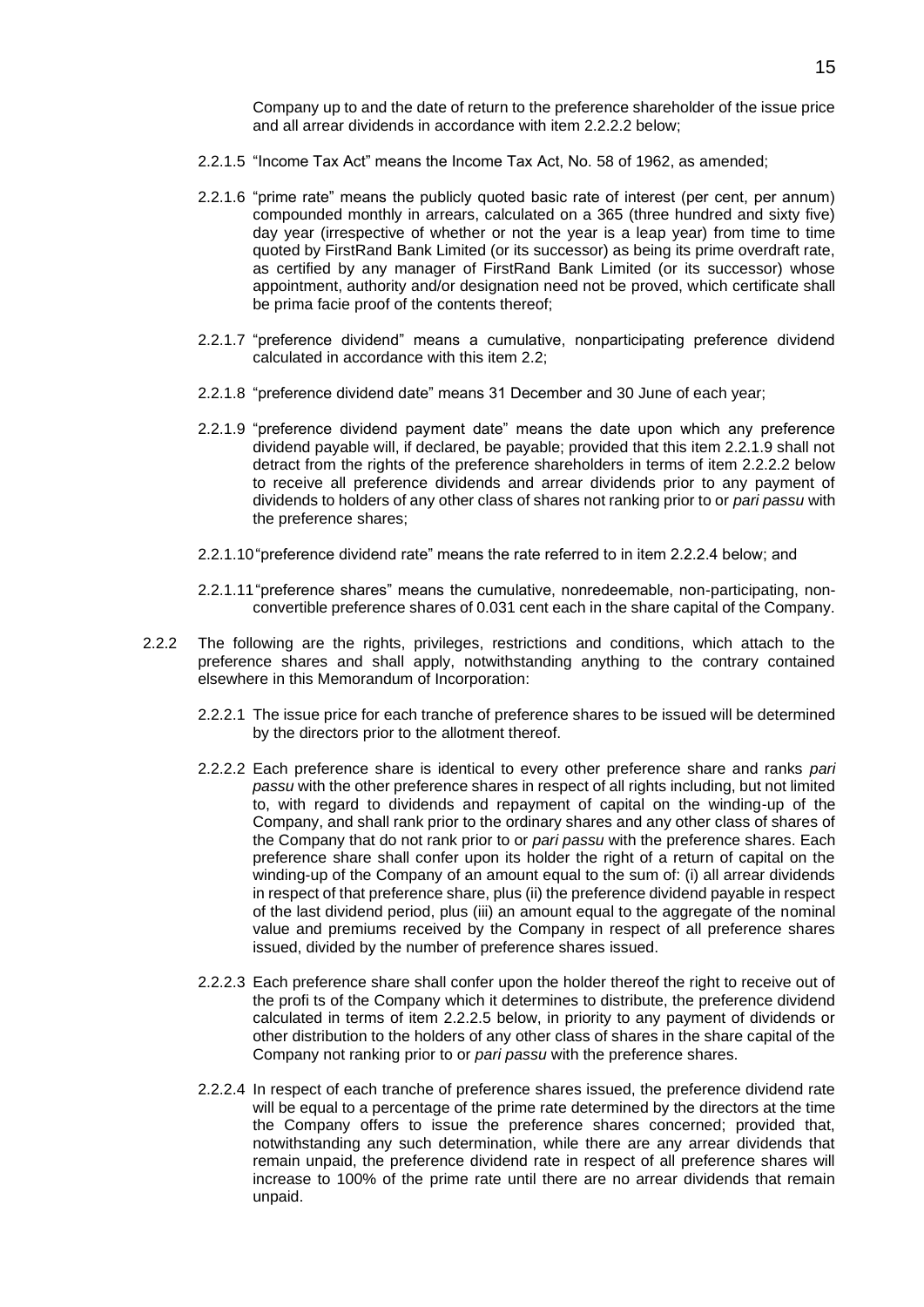Company up to and the date of return to the preference shareholder of the issue price and all arrear dividends in accordance with item 2.2.2.2 below;

- 2.2.1.5 "Income Tax Act" means the Income Tax Act, No. 58 of 1962, as amended;
- 2.2.1.6 "prime rate" means the publicly quoted basic rate of interest (per cent, per annum) compounded monthly in arrears, calculated on a 365 (three hundred and sixty five) day year (irrespective of whether or not the year is a leap year) from time to time quoted by FirstRand Bank Limited (or its successor) as being its prime overdraft rate, as certified by any manager of FirstRand Bank Limited (or its successor) whose appointment, authority and/or designation need not be proved, which certificate shall be prima facie proof of the contents thereof;
- 2.2.1.7 "preference dividend" means a cumulative, nonparticipating preference dividend calculated in accordance with this item 2.2;
- 2.2.1.8 "preference dividend date" means 31 December and 30 June of each year;
- 2.2.1.9 "preference dividend payment date" means the date upon which any preference dividend payable will, if declared, be payable; provided that this item 2.2.1.9 shall not detract from the rights of the preference shareholders in terms of item 2.2.2.2 below to receive all preference dividends and arrear dividends prior to any payment of dividends to holders of any other class of shares not ranking prior to or *pari passu* with the preference shares;
- 2.2.1.10"preference dividend rate" means the rate referred to in item 2.2.2.4 below; and
- 2.2.1.11"preference shares" means the cumulative, nonredeemable, non-participating, nonconvertible preference shares of 0.031 cent each in the share capital of the Company.
- 2.2.2 The following are the rights, privileges, restrictions and conditions, which attach to the preference shares and shall apply, notwithstanding anything to the contrary contained elsewhere in this Memorandum of Incorporation:
	- 2.2.2.1 The issue price for each tranche of preference shares to be issued will be determined by the directors prior to the allotment thereof.
	- 2.2.2.2 Each preference share is identical to every other preference share and ranks *pari passu* with the other preference shares in respect of all rights including, but not limited to, with regard to dividends and repayment of capital on the winding-up of the Company, and shall rank prior to the ordinary shares and any other class of shares of the Company that do not rank prior to or *pari passu* with the preference shares. Each preference share shall confer upon its holder the right of a return of capital on the winding-up of the Company of an amount equal to the sum of: (i) all arrear dividends in respect of that preference share, plus (ii) the preference dividend payable in respect of the last dividend period, plus (iii) an amount equal to the aggregate of the nominal value and premiums received by the Company in respect of all preference shares issued, divided by the number of preference shares issued.
	- 2.2.2.3 Each preference share shall confer upon the holder thereof the right to receive out of the profi ts of the Company which it determines to distribute, the preference dividend calculated in terms of item 2.2.2.5 below, in priority to any payment of dividends or other distribution to the holders of any other class of shares in the share capital of the Company not ranking prior to or *pari passu* with the preference shares.
	- 2.2.2.4 In respect of each tranche of preference shares issued, the preference dividend rate will be equal to a percentage of the prime rate determined by the directors at the time the Company offers to issue the preference shares concerned; provided that, notwithstanding any such determination, while there are any arrear dividends that remain unpaid, the preference dividend rate in respect of all preference shares will increase to 100% of the prime rate until there are no arrear dividends that remain unpaid.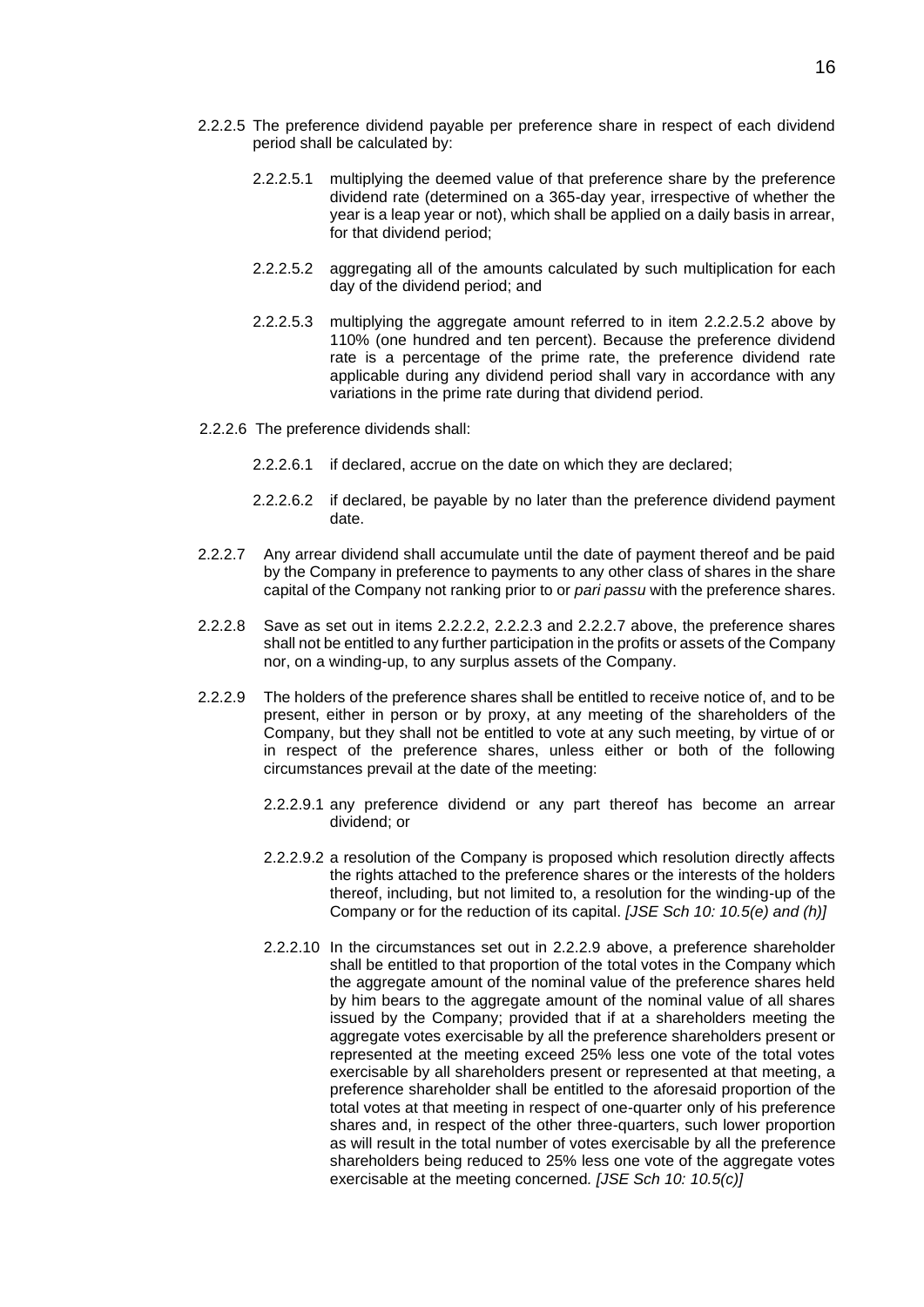- 2.2.2.5 The preference dividend payable per preference share in respect of each dividend period shall be calculated by:
	- 2.2.2.5.1 multiplying the deemed value of that preference share by the preference dividend rate (determined on a 365-day year, irrespective of whether the year is a leap year or not), which shall be applied on a daily basis in arrear, for that dividend period;
	- 2.2.2.5.2 aggregating all of the amounts calculated by such multiplication for each day of the dividend period; and
	- 2.2.2.5.3 multiplying the aggregate amount referred to in item 2.2.2.5.2 above by 110% (one hundred and ten percent). Because the preference dividend rate is a percentage of the prime rate, the preference dividend rate applicable during any dividend period shall vary in accordance with any variations in the prime rate during that dividend period.
- 2.2.2.6 The preference dividends shall:
	- 2.2.2.6.1 if declared, accrue on the date on which they are declared;
	- 2.2.2.6.2 if declared, be payable by no later than the preference dividend payment date.
- 2.2.2.7 Any arrear dividend shall accumulate until the date of payment thereof and be paid by the Company in preference to payments to any other class of shares in the share capital of the Company not ranking prior to or *pari passu* with the preference shares.
- 2.2.2.8 Save as set out in items 2.2.2.2, 2.2.2.3 and 2.2.2.7 above, the preference shares shall not be entitled to any further participation in the profits or assets of the Company nor, on a winding-up, to any surplus assets of the Company.
- 2.2.2.9 The holders of the preference shares shall be entitled to receive notice of, and to be present, either in person or by proxy, at any meeting of the shareholders of the Company, but they shall not be entitled to vote at any such meeting, by virtue of or in respect of the preference shares, unless either or both of the following circumstances prevail at the date of the meeting:
	- 2.2.2.9.1 any preference dividend or any part thereof has become an arrear dividend; or
	- 2.2.2.9.2 a resolution of the Company is proposed which resolution directly affects the rights attached to the preference shares or the interests of the holders thereof, including, but not limited to, a resolution for the winding-up of the Company or for the reduction of its capital. *[JSE Sch 10: 10.5(e) and (h)]*
	- 2.2.2.10 In the circumstances set out in 2.2.2.9 above, a preference shareholder shall be entitled to that proportion of the total votes in the Company which the aggregate amount of the nominal value of the preference shares held by him bears to the aggregate amount of the nominal value of all shares issued by the Company; provided that if at a shareholders meeting the aggregate votes exercisable by all the preference shareholders present or represented at the meeting exceed 25% less one vote of the total votes exercisable by all shareholders present or represented at that meeting, a preference shareholder shall be entitled to the aforesaid proportion of the total votes at that meeting in respect of one-quarter only of his preference shares and, in respect of the other three-quarters, such lower proportion as will result in the total number of votes exercisable by all the preference shareholders being reduced to 25% less one vote of the aggregate votes exercisable at the meeting concerned*. [JSE Sch 10: 10.5(c)]*